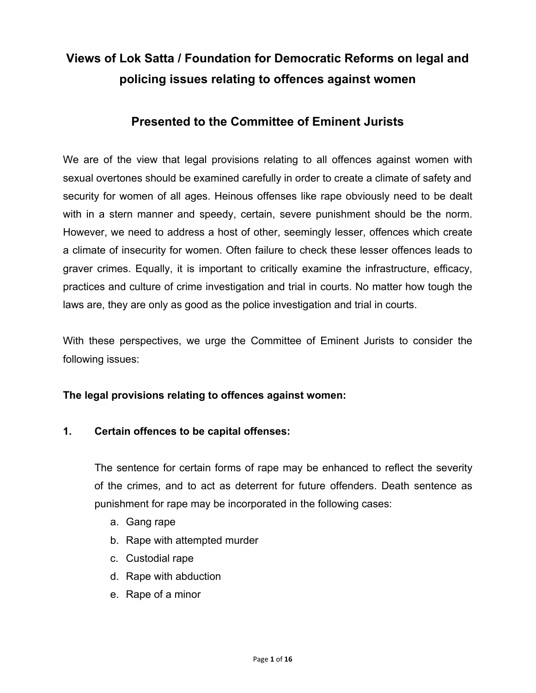# **Views of Lok Satta / Foundation for Democratic Reforms on legal and policing issues relating to offences against women**

## **Presented to the Committee of Eminent Jurists**

We are of the view that legal provisions relating to all offences against women with sexual overtones should be examined carefully in order to create a climate of safety and security for women of all ages. Heinous offenses like rape obviously need to be dealt with in a stern manner and speedy, certain, severe punishment should be the norm. However, we need to address a host of other, seemingly lesser, offences which create a climate of insecurity for women. Often failure to check these lesser offences leads to graver crimes. Equally, it is important to critically examine the infrastructure, efficacy, practices and culture of crime investigation and trial in courts. No matter how tough the laws are, they are only as good as the police investigation and trial in courts.

With these perspectives, we urge the Committee of Eminent Jurists to consider the following issues:

## **The legal provisions relating to offences against women:**

## **1. Certain offences to be capital offenses:**

The sentence for certain forms of rape may be enhanced to reflect the severity of the crimes, and to act as deterrent for future offenders. Death sentence as punishment for rape may be incorporated in the following cases:

- a. Gang rape
- b. Rape with attempted murder
- c. Custodial rape
- d. Rape with abduction
- e. Rape of a minor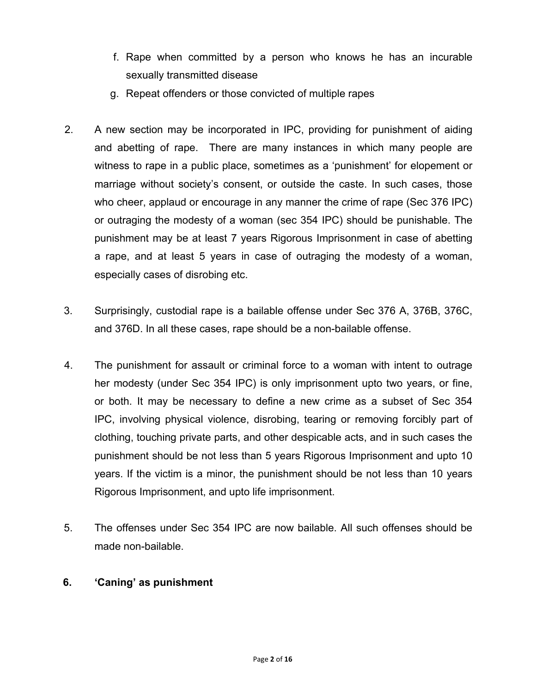- f. Rape when committed by a person who knows he has an incurable sexually transmitted disease
- g. Repeat offenders or those convicted of multiple rapes
- 2. A new section may be incorporated in IPC, providing for punishment of aiding and abetting of rape. There are many instances in which many people are witness to rape in a public place, sometimes as a 'punishment' for elopement or marriage without society's consent, or outside the caste. In such cases, those who cheer, applaud or encourage in any manner the crime of rape (Sec 376 IPC) or outraging the modesty of a woman (sec 354 IPC) should be punishable. The punishment may be at least 7 years Rigorous Imprisonment in case of abetting a rape, and at least 5 years in case of outraging the modesty of a woman, especially cases of disrobing etc.
- 3. Surprisingly, custodial rape is a bailable offense under Sec 376 A, 376B, 376C, and 376D. In all these cases, rape should be a non-bailable offense.
- 4. The punishment for assault or criminal force to a woman with intent to outrage her modesty (under Sec 354 IPC) is only imprisonment upto two years, or fine, or both. It may be necessary to define a new crime as a subset of Sec 354 IPC, involving physical violence, disrobing, tearing or removing forcibly part of clothing, touching private parts, and other despicable acts, and in such cases the punishment should be not less than 5 years Rigorous Imprisonment and upto 10 years. If the victim is a minor, the punishment should be not less than 10 years Rigorous Imprisonment, and upto life imprisonment.
- 5. The offenses under Sec 354 IPC are now bailable. All such offenses should be made non-bailable.

## **6. 'Caning' as punishment**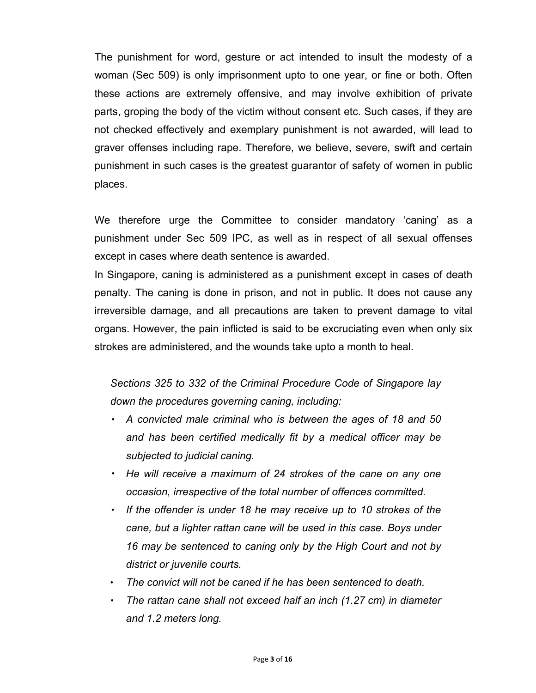The punishment for word, gesture or act intended to insult the modesty of a woman (Sec 509) is only imprisonment upto to one year, or fine or both. Often these actions are extremely offensive, and may involve exhibition of private parts, groping the body of the victim without consent etc. Such cases, if they are not checked effectively and exemplary punishment is not awarded, will lead to graver offenses including rape. Therefore, we believe, severe, swift and certain punishment in such cases is the greatest guarantor of safety of women in public places.

We therefore urge the Committee to consider mandatory 'caning' as a punishment under Sec 509 IPC, as well as in respect of all sexual offenses except in cases where death sentence is awarded.

In Singapore, caning is administered as a punishment except in cases of death penalty. The caning is done in prison, and not in public. It does not cause any irreversible damage, and all precautions are taken to prevent damage to vital organs. However, the pain inflicted is said to be excruciating even when only six strokes are administered, and the wounds take upto a month to heal.

*Sections 325 to 332 of the Criminal Procedure Code of Singapore lay down the procedures governing caning, including:*

- *A convicted male criminal who is between the ages of 18 and 50 and has been certified medically fit by a medical officer may be subjected to judicial caning.*
- *He will receive a maximum of 24 strokes of the cane on any one occasion, irrespective of the total number of offences committed.*
- *If the offender is under 18 he may receive up to 10 strokes of the cane, but a lighter rattan cane will be used in this case. Boys under 16 may be sentenced to caning only by the High Court and not by district or juvenile courts.*
- *The convict will not be caned if he has been sentenced to death.*
- *The rattan cane shall not exceed half an inch (1.27 cm) in diameter and 1.2 meters long.*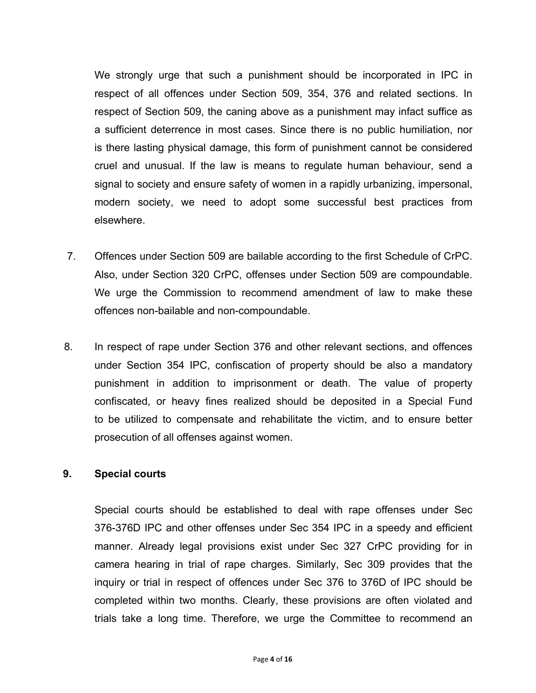We strongly urge that such a punishment should be incorporated in IPC in respect of all offences under Section 509, 354, 376 and related sections. In respect of Section 509, the caning above as a punishment may infact suffice as a sufficient deterrence in most cases. Since there is no public humiliation, nor is there lasting physical damage, this form of punishment cannot be considered cruel and unusual. If the law is means to regulate human behaviour, send a signal to society and ensure safety of women in a rapidly urbanizing, impersonal, modern society, we need to adopt some successful best practices from elsewhere.

- 7. Offences under Section 509 are bailable according to the first Schedule of CrPC. Also, under Section 320 CrPC, offenses under Section 509 are compoundable. We urge the Commission to recommend amendment of law to make these offences non-bailable and non-compoundable.
- 8. In respect of rape under Section 376 and other relevant sections, and offences under Section 354 IPC, confiscation of property should be also a mandatory punishment in addition to imprisonment or death. The value of property confiscated, or heavy fines realized should be deposited in a Special Fund to be utilized to compensate and rehabilitate the victim, and to ensure better prosecution of all offenses against women.

#### **9. Special courts**

Special courts should be established to deal with rape offenses under Sec 376-376D IPC and other offenses under Sec 354 IPC in a speedy and efficient manner. Already legal provisions exist under Sec 327 CrPC providing for in camera hearing in trial of rape charges. Similarly, Sec 309 provides that the inquiry or trial in respect of offences under Sec 376 to 376D of IPC should be completed within two months. Clearly, these provisions are often violated and trials take a long time. Therefore, we urge the Committee to recommend an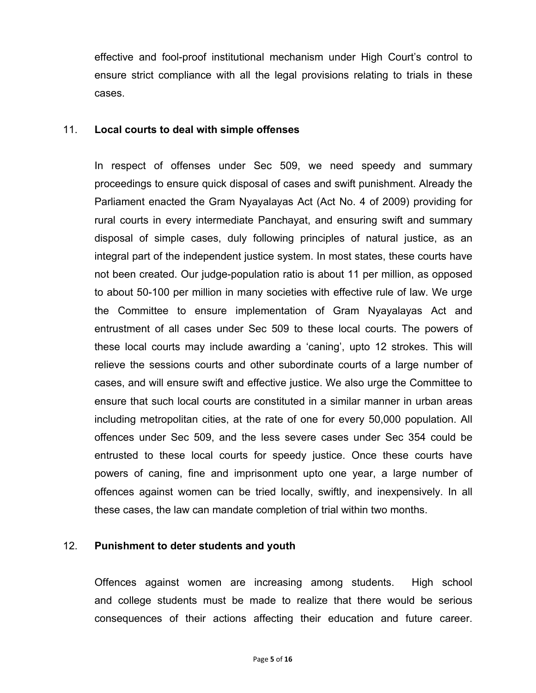effective and fool-proof institutional mechanism under High Court's control to ensure strict compliance with all the legal provisions relating to trials in these cases.

#### 11. **Local courts to deal with simple offenses**

In respect of offenses under Sec 509, we need speedy and summary proceedings to ensure quick disposal of cases and swift punishment. Already the Parliament enacted the Gram Nyayalayas Act (Act No. 4 of 2009) providing for rural courts in every intermediate Panchayat, and ensuring swift and summary disposal of simple cases, duly following principles of natural justice, as an integral part of the independent justice system. In most states, these courts have not been created. Our judge-population ratio is about 11 per million, as opposed to about 50-100 per million in many societies with effective rule of law. We urge the Committee to ensure implementation of Gram Nyayalayas Act and entrustment of all cases under Sec 509 to these local courts. The powers of these local courts may include awarding a 'caning', upto 12 strokes. This will relieve the sessions courts and other subordinate courts of a large number of cases, and will ensure swift and effective justice. We also urge the Committee to ensure that such local courts are constituted in a similar manner in urban areas including metropolitan cities, at the rate of one for every 50,000 population. All offences under Sec 509, and the less severe cases under Sec 354 could be entrusted to these local courts for speedy justice. Once these courts have powers of caning, fine and imprisonment upto one year, a large number of offences against women can be tried locally, swiftly, and inexpensively. In all these cases, the law can mandate completion of trial within two months.

#### 12. **Punishment to deter students and youth**

Offences against women are increasing among students. High school and college students must be made to realize that there would be serious consequences of their actions affecting their education and future career.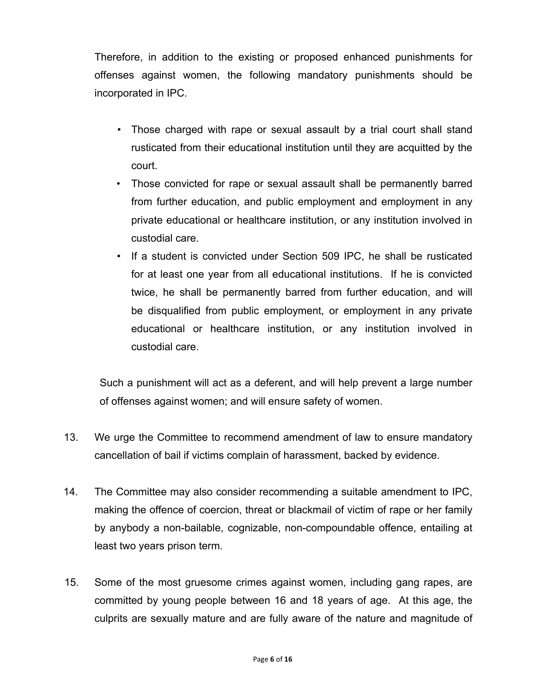Therefore, in addition to the existing or proposed enhanced punishments for offenses against women, the following mandatory punishments should be incorporated in IPC.

- Those charged with rape or sexual assault by a trial court shall stand rusticated from their educational institution until they are acquitted by the court.
- Those convicted for rape or sexual assault shall be permanently barred from further education, and public employment and employment in any private educational or healthcare institution, or any institution involved in custodial care.
- If a student is convicted under Section 509 IPC, he shall be rusticated for at least one year from all educational institutions. If he is convicted twice, he shall be permanently barred from further education, and will be disqualified from public employment, or employment in any private educational or healthcare institution, or any institution involved in custodial care.

Such a punishment will act as a deferent, and will help prevent a large number of offenses against women; and will ensure safety of women.

- 13. We urge the Committee to recommend amendment of law to ensure mandatory cancellation of bail if victims complain of harassment, backed by evidence.
- 14. The Committee may also consider recommending a suitable amendment to IPC, making the offence of coercion, threat or blackmail of victim of rape or her family by anybody a non-bailable, cognizable, non-compoundable offence, entailing at least two years prison term.
- 15. Some of the most gruesome crimes against women, including gang rapes, are committed by young people between 16 and 18 years of age. At this age, the culprits are sexually mature and are fully aware of the nature and magnitude of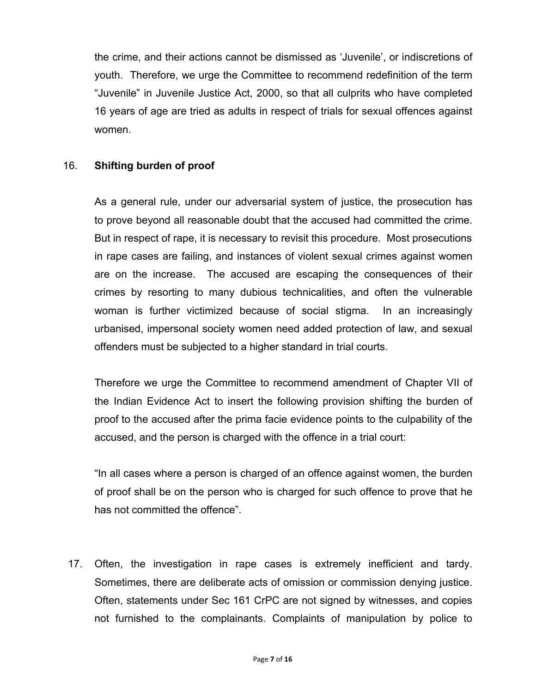the crime, and their actions cannot be dismissed as 'Juvenile', or indiscretions of youth. Therefore, we urge the Committee to recommend redefinition of the term "Juvenile" in Juvenile Justice Act, 2000, so that all culprits who have completed 16 years of age are tried as adults in respect of trials for sexual offences against women.

## 16. **Shifting burden of proof**

As a general rule, under our adversarial system of justice, the prosecution has to prove beyond all reasonable doubt that the accused had committed the crime. But in respect of rape, it is necessary to revisit this procedure. Most prosecutions in rape cases are failing, and instances of violent sexual crimes against women are on the increase. The accused are escaping the consequences of their crimes by resorting to many dubious technicalities, and often the vulnerable woman is further victimized because of social stigma. In an increasingly urbanised, impersonal society women need added protection of law, and sexual offenders must be subjected to a higher standard in trial courts.

Therefore we urge the Committee to recommend amendment of Chapter VII of the Indian Evidence Act to insert the following provision shifting the burden of proof to the accused after the prima facie evidence points to the culpability of the accused, and the person is charged with the offence in a trial court:

"In all cases where a person is charged of an offence against women, the burden of proof shall be on the person who is charged for such offence to prove that he has not committed the offence".

17. Often, the investigation in rape cases is extremely inefficient and tardy. Sometimes, there are deliberate acts of omission or commission denying justice. Often, statements under Sec 161 CrPC are not signed by witnesses, and copies not furnished to the complainants. Complaints of manipulation by police to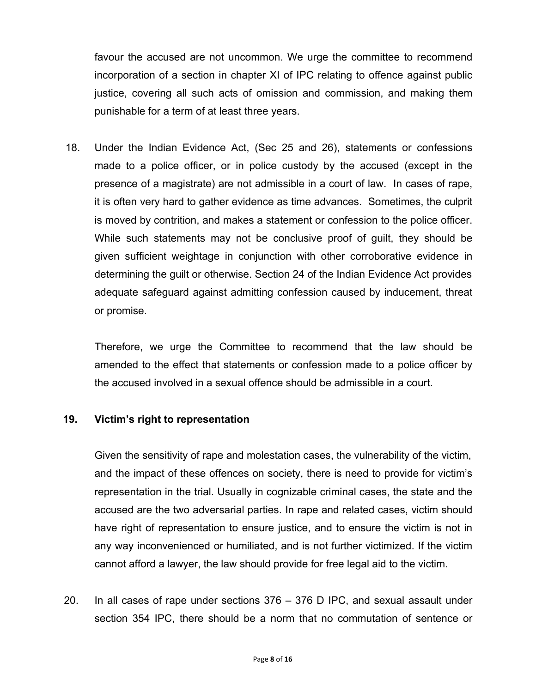favour the accused are not uncommon. We urge the committee to recommend incorporation of a section in chapter XI of IPC relating to offence against public justice, covering all such acts of omission and commission, and making them punishable for a term of at least three years.

18. Under the Indian Evidence Act, (Sec 25 and 26), statements or confessions made to a police officer, or in police custody by the accused (except in the presence of a magistrate) are not admissible in a court of law. In cases of rape, it is often very hard to gather evidence as time advances. Sometimes, the culprit is moved by contrition, and makes a statement or confession to the police officer. While such statements may not be conclusive proof of guilt, they should be given sufficient weightage in conjunction with other corroborative evidence in determining the guilt or otherwise. Section 24 of the Indian Evidence Act provides adequate safeguard against admitting confession caused by inducement, threat or promise.

Therefore, we urge the Committee to recommend that the law should be amended to the effect that statements or confession made to a police officer by the accused involved in a sexual offence should be admissible in a court.

## **19. Victim's right to representation**

Given the sensitivity of rape and molestation cases, the vulnerability of the victim, and the impact of these offences on society, there is need to provide for victim's representation in the trial. Usually in cognizable criminal cases, the state and the accused are the two adversarial parties. In rape and related cases, victim should have right of representation to ensure justice, and to ensure the victim is not in any way inconvenienced or humiliated, and is not further victimized. If the victim cannot afford a lawyer, the law should provide for free legal aid to the victim.

20. In all cases of rape under sections 376 – 376 D IPC, and sexual assault under section 354 IPC, there should be a norm that no commutation of sentence or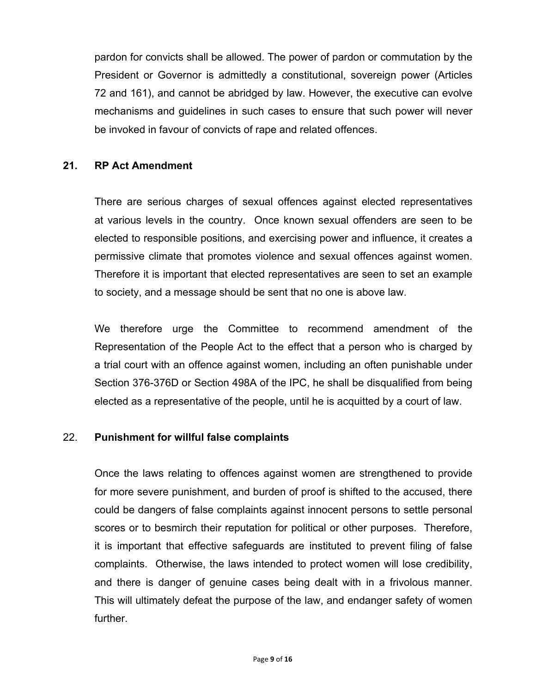pardon for convicts shall be allowed. The power of pardon or commutation by the President or Governor is admittedly a constitutional, sovereign power (Articles 72 and 161), and cannot be abridged by law. However, the executive can evolve mechanisms and guidelines in such cases to ensure that such power will never be invoked in favour of convicts of rape and related offences.

## **21. RP Act Amendment**

There are serious charges of sexual offences against elected representatives at various levels in the country. Once known sexual offenders are seen to be elected to responsible positions, and exercising power and influence, it creates a permissive climate that promotes violence and sexual offences against women. Therefore it is important that elected representatives are seen to set an example to society, and a message should be sent that no one is above law.

We therefore urge the Committee to recommend amendment of the Representation of the People Act to the effect that a person who is charged by a trial court with an offence against women, including an often punishable under Section 376-376D or Section 498A of the IPC, he shall be disqualified from being elected as a representative of the people, until he is acquitted by a court of law.

## 22. **Punishment for willful false complaints**

Once the laws relating to offences against women are strengthened to provide for more severe punishment, and burden of proof is shifted to the accused, there could be dangers of false complaints against innocent persons to settle personal scores or to besmirch their reputation for political or other purposes. Therefore, it is important that effective safeguards are instituted to prevent filing of false complaints. Otherwise, the laws intended to protect women will lose credibility, and there is danger of genuine cases being dealt with in a frivolous manner. This will ultimately defeat the purpose of the law, and endanger safety of women further.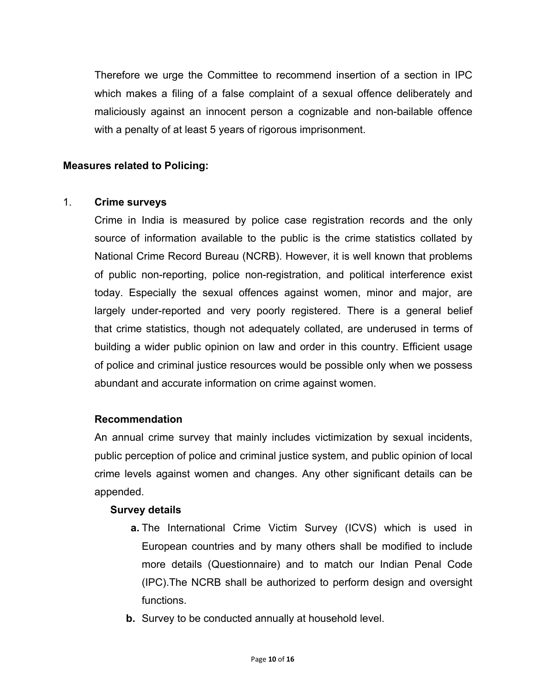Therefore we urge the Committee to recommend insertion of a section in IPC which makes a filing of a false complaint of a sexual offence deliberately and maliciously against an innocent person a cognizable and non-bailable offence with a penalty of at least 5 years of rigorous imprisonment.

## **Measures related to Policing:**

#### 1. **Crime surveys**

Crime in India is measured by police case registration records and the only source of information available to the public is the crime statistics collated by National Crime Record Bureau (NCRB). However, it is well known that problems of public non-reporting, police non-registration, and political interference exist today. Especially the sexual offences against women, minor and major, are largely under-reported and very poorly registered. There is a general belief that crime statistics, though not adequately collated, are underused in terms of building a wider public opinion on law and order in this country. Efficient usage of police and criminal justice resources would be possible only when we possess abundant and accurate information on crime against women.

#### **Recommendation**

An annual crime survey that mainly includes victimization by sexual incidents, public perception of police and criminal justice system, and public opinion of local crime levels against women and changes. Any other significant details can be appended.

#### **Survey details**

- **a.** The International Crime Victim Survey (ICVS) which is used in European countries and by many others shall be modified to include more details (Questionnaire) and to match our Indian Penal Code (IPC).The NCRB shall be authorized to perform design and oversight functions.
- **b.** Survey to be conducted annually at household level.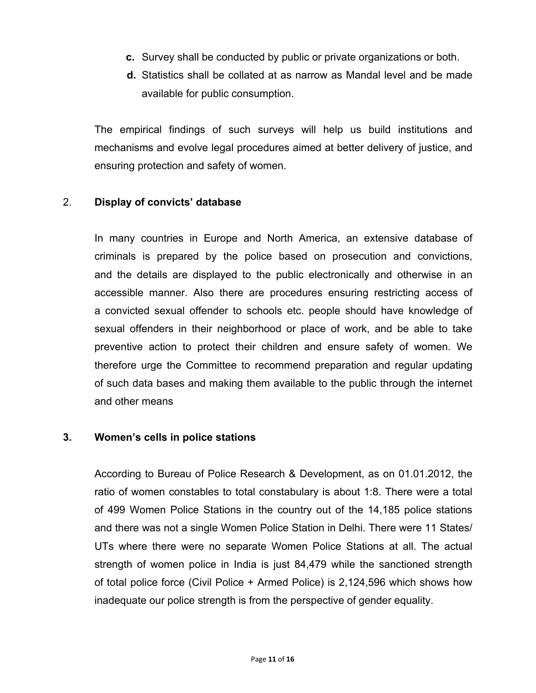- **c.** Survey shall be conducted by public or private organizations or both.
- **d.** Statistics shall be collated at as narrow as Mandal level and be made available for public consumption.

The empirical findings of such surveys will help us build institutions and mechanisms and evolve legal procedures aimed at better delivery of justice, and ensuring protection and safety of women.

#### 2. **Display of convicts' database**

In many countries in Europe and North America, an extensive database of criminals is prepared by the police based on prosecution and convictions, and the details are displayed to the public electronically and otherwise in an accessible manner. Also there are procedures ensuring restricting access of a convicted sexual offender to schools etc. people should have knowledge of sexual offenders in their neighborhood or place of work, and be able to take preventive action to protect their children and ensure safety of women. We therefore urge the Committee to recommend preparation and regular updating of such data bases and making them available to the public through the internet and other means

#### **3. Women's cells in police stations**

According to Bureau of Police Research & Development, as on 01.01.2012, the ratio of women constables to total constabulary is about 1:8. There were a total of 499 Women Police Stations in the country out of the 14,185 police stations and there was not a single Women Police Station in Delhi. There were 11 States/ UTs where there were no separate Women Police Stations at all. The actual strength of women police in India is just 84,479 while the sanctioned strength of total police force (Civil Police + Armed Police) is 2,124,596 which shows how inadequate our police strength is from the perspective of gender equality.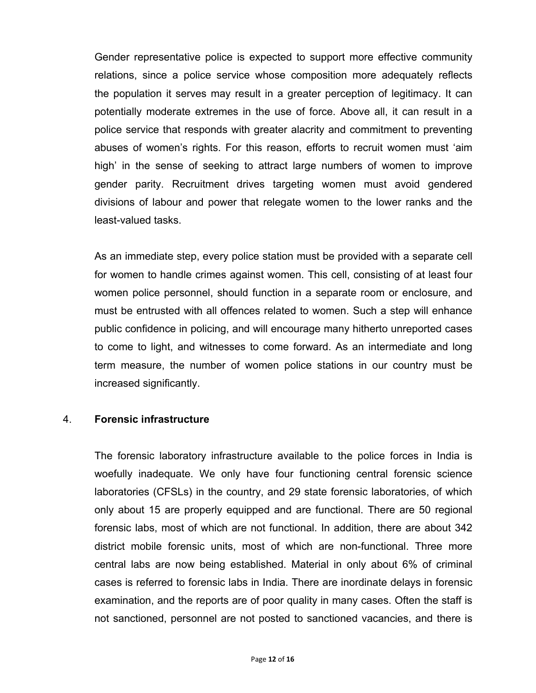Gender representative police is expected to support more effective community relations, since a police service whose composition more adequately reflects the population it serves may result in a greater perception of legitimacy. It can potentially moderate extremes in the use of force. Above all, it can result in a police service that responds with greater alacrity and commitment to preventing abuses of women's rights. For this reason, efforts to recruit women must 'aim high' in the sense of seeking to attract large numbers of women to improve gender parity. Recruitment drives targeting women must avoid gendered divisions of labour and power that relegate women to the lower ranks and the least-valued tasks.

As an immediate step, every police station must be provided with a separate cell for women to handle crimes against women. This cell, consisting of at least four women police personnel, should function in a separate room or enclosure, and must be entrusted with all offences related to women. Such a step will enhance public confidence in policing, and will encourage many hitherto unreported cases to come to light, and witnesses to come forward. As an intermediate and long term measure, the number of women police stations in our country must be increased significantly.

#### 4. **Forensic infrastructure**

The forensic laboratory infrastructure available to the police forces in India is woefully inadequate. We only have four functioning central forensic science laboratories (CFSLs) in the country, and 29 state forensic laboratories, of which only about 15 are properly equipped and are functional. There are 50 regional forensic labs, most of which are not functional. In addition, there are about 342 district mobile forensic units, most of which are non-functional. Three more central labs are now being established. Material in only about 6% of criminal cases is referred to forensic labs in India. There are inordinate delays in forensic examination, and the reports are of poor quality in many cases. Often the staff is not sanctioned, personnel are not posted to sanctioned vacancies, and there is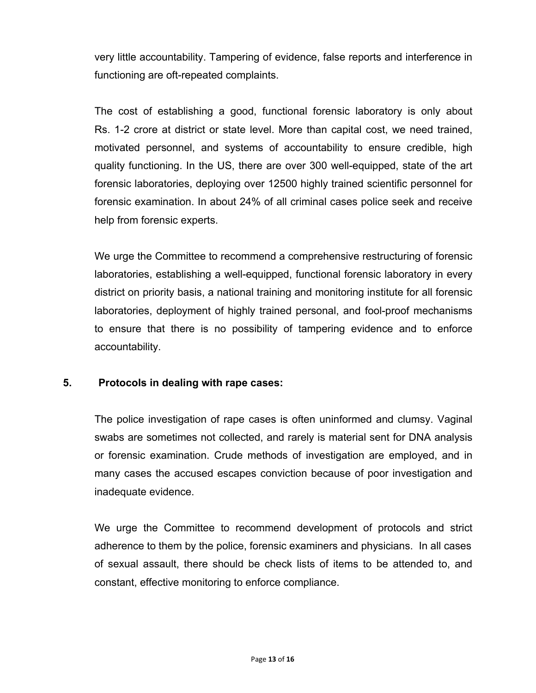very little accountability. Tampering of evidence, false reports and interference in functioning are oft-repeated complaints.

The cost of establishing a good, functional forensic laboratory is only about Rs. 1-2 crore at district or state level. More than capital cost, we need trained, motivated personnel, and systems of accountability to ensure credible, high quality functioning. In the US, there are over 300 well-equipped, state of the art forensic laboratories, deploying over 12500 highly trained scientific personnel for forensic examination. In about 24% of all criminal cases police seek and receive help from forensic experts.

We urge the Committee to recommend a comprehensive restructuring of forensic laboratories, establishing a well-equipped, functional forensic laboratory in every district on priority basis, a national training and monitoring institute for all forensic laboratories, deployment of highly trained personal, and fool-proof mechanisms to ensure that there is no possibility of tampering evidence and to enforce accountability.

## **5. Protocols in dealing with rape cases:**

The police investigation of rape cases is often uninformed and clumsy. Vaginal swabs are sometimes not collected, and rarely is material sent for DNA analysis or forensic examination. Crude methods of investigation are employed, and in many cases the accused escapes conviction because of poor investigation and inadequate evidence.

We urge the Committee to recommend development of protocols and strict adherence to them by the police, forensic examiners and physicians. In all cases of sexual assault, there should be check lists of items to be attended to, and constant, effective monitoring to enforce compliance.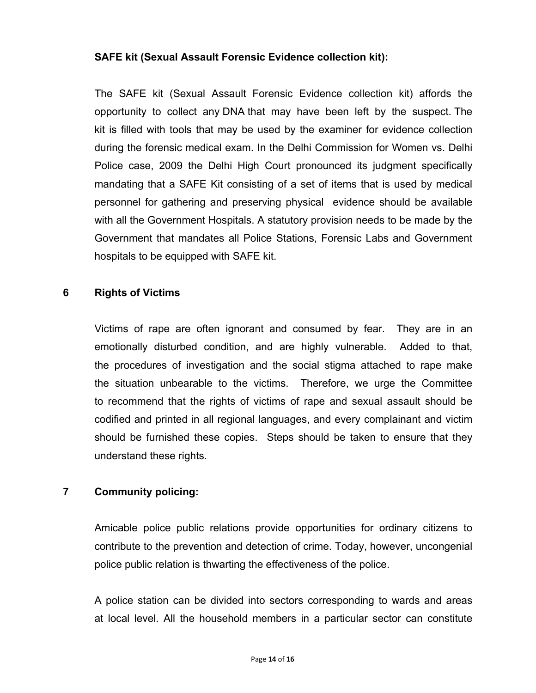## **SAFE kit (Sexual Assault Forensic Evidence collection kit):**

The SAFE kit (Sexual Assault Forensic Evidence collection kit) affords the opportunity to collect any DNA that may have been left by the suspect. The kit is filled with tools that may be used by the examiner for evidence collection during the forensic medical exam. In the Delhi Commission for Women vs. Delhi Police case, 2009 the Delhi High Court pronounced its judgment specifically mandating that a SAFE Kit consisting of a set of items that is used by medical personnel for gathering and preserving physical evidence should be available with all the Government Hospitals. A statutory provision needs to be made by the Government that mandates all Police Stations, Forensic Labs and Government hospitals to be equipped with SAFE kit.

## **6 Rights of Victims**

Victims of rape are often ignorant and consumed by fear. They are in an emotionally disturbed condition, and are highly vulnerable. Added to that, the procedures of investigation and the social stigma attached to rape make the situation unbearable to the victims. Therefore, we urge the Committee to recommend that the rights of victims of rape and sexual assault should be codified and printed in all regional languages, and every complainant and victim should be furnished these copies. Steps should be taken to ensure that they understand these rights.

## **7 Community policing:**

Amicable police public relations provide opportunities for ordinary citizens to contribute to the prevention and detection of crime. Today, however, uncongenial police public relation is thwarting the effectiveness of the police.

A police station can be divided into sectors corresponding to wards and areas at local level. All the household members in a particular sector can constitute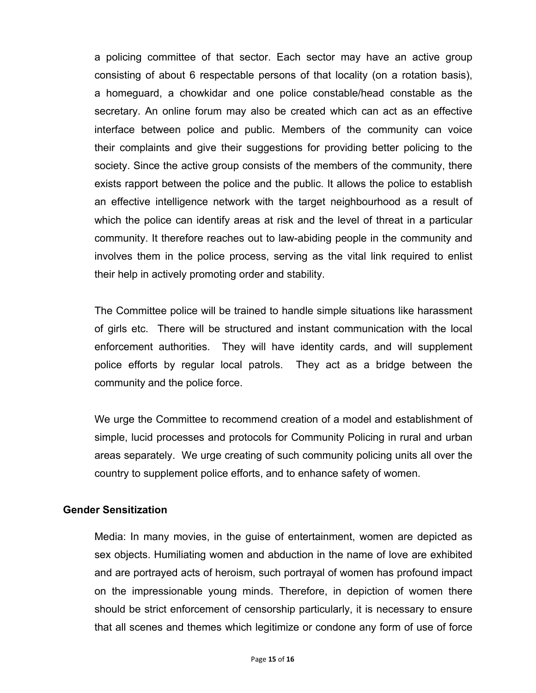a policing committee of that sector. Each sector may have an active group consisting of about 6 respectable persons of that locality (on a rotation basis), a homeguard, a chowkidar and one police constable/head constable as the secretary. An online forum may also be created which can act as an effective interface between police and public. Members of the community can voice their complaints and give their suggestions for providing better policing to the society. Since the active group consists of the members of the community, there exists rapport between the police and the public. It allows the police to establish an effective intelligence network with the target neighbourhood as a result of which the police can identify areas at risk and the level of threat in a particular community. It therefore reaches out to law-abiding people in the community and involves them in the police process, serving as the vital link required to enlist their help in actively promoting order and stability.

The Committee police will be trained to handle simple situations like harassment of girls etc. There will be structured and instant communication with the local enforcement authorities. They will have identity cards, and will supplement police efforts by regular local patrols. They act as a bridge between the community and the police force.

We urge the Committee to recommend creation of a model and establishment of simple, lucid processes and protocols for Community Policing in rural and urban areas separately. We urge creating of such community policing units all over the country to supplement police efforts, and to enhance safety of women.

## **Gender Sensitization**

Media: In many movies, in the guise of entertainment, women are depicted as sex objects. Humiliating women and abduction in the name of love are exhibited and are portrayed acts of heroism, such portrayal of women has profound impact on the impressionable young minds. Therefore, in depiction of women there should be strict enforcement of censorship particularly, it is necessary to ensure that all scenes and themes which legitimize or condone any form of use of force